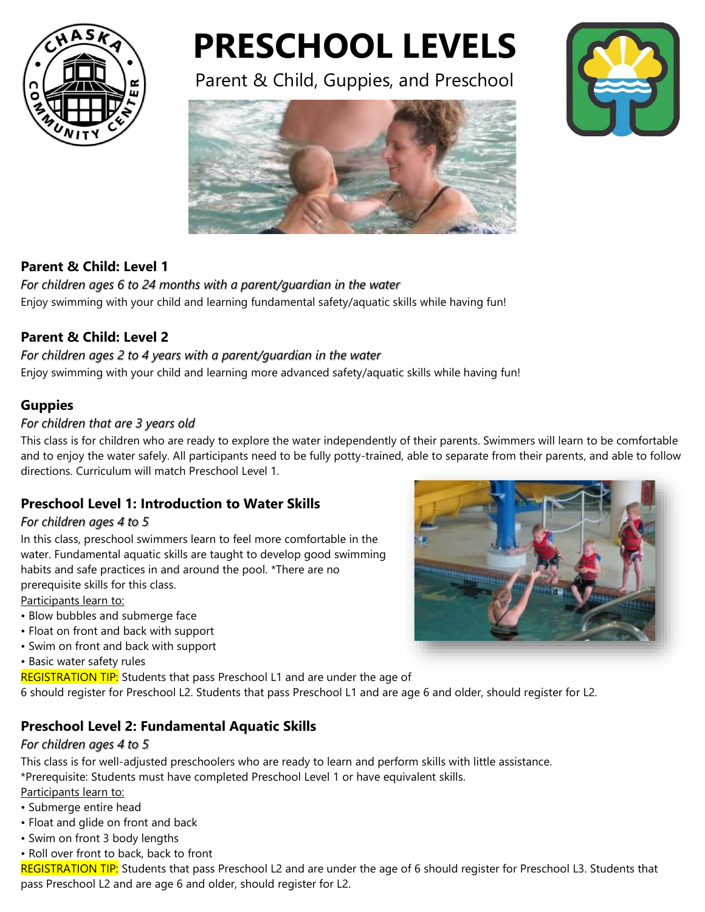

# **PRESCHOOL LEVELS**

Parent & Child, Guppies, and Preschool





## **Parent & Child: Level 1**

*For children ages 6 to 24 months with a parent/guardian in the water* Enjoy swimming with your child and learning fundamental safety/aquatic skills while having fun!

## **Parent & Child: Level 2**

#### *For children ages 2 to 4 years with a parent/guardian in the water* Enjoy swimming with your child and learning more advanced safety/aquatic skills while having fun!

**Guppies**

#### *For children that are 3 years old*

This class is for children who are ready to explore the water independently of their parents. Swimmers will learn to be comfortable and to enjoy the water safely. All participants need to be fully potty-trained, able to separate from their parents, and able to follow directions. Curriculum will match Preschool Level 1.

## **Preschool Level 1: Introduction to Water Skills**

#### *For children ages 4 to 5*

In this class, preschool swimmers learn to feel more comfortable in the water. Fundamental aquatic skills are taught to develop good swimming habits and safe practices in and around the pool. \*There are no prerequisite skills for this class.

Participants learn to:

- Blow bubbles and submerge face
- Float on front and back with support
- Swim on front and back with support

• Basic water safety rules

REGISTRATION TIP: Students that pass Preschool L1 and are under the age of

6 should register for Preschool L2. Students that pass Preschool L1 and are age 6 and older, should register for L2.

## **Preschool Level 2: Fundamental Aquatic Skills**

#### *For children ages 4 to 5*

This class is for well-adjusted preschoolers who are ready to learn and perform skills with little assistance. \*Prerequisite: Students must have completed Preschool Level 1 or have equivalent skills.

Participants learn to:

- Submerge entire head
- Float and glide on front and back
- Swim on front 3 body lengths
- Roll over front to back, back to front

REGISTRATION TIP: Students that pass Preschool L2 and are under the age of 6 should register for Preschool L3. Students that pass Preschool L2 and are age 6 and older, should register for L2.